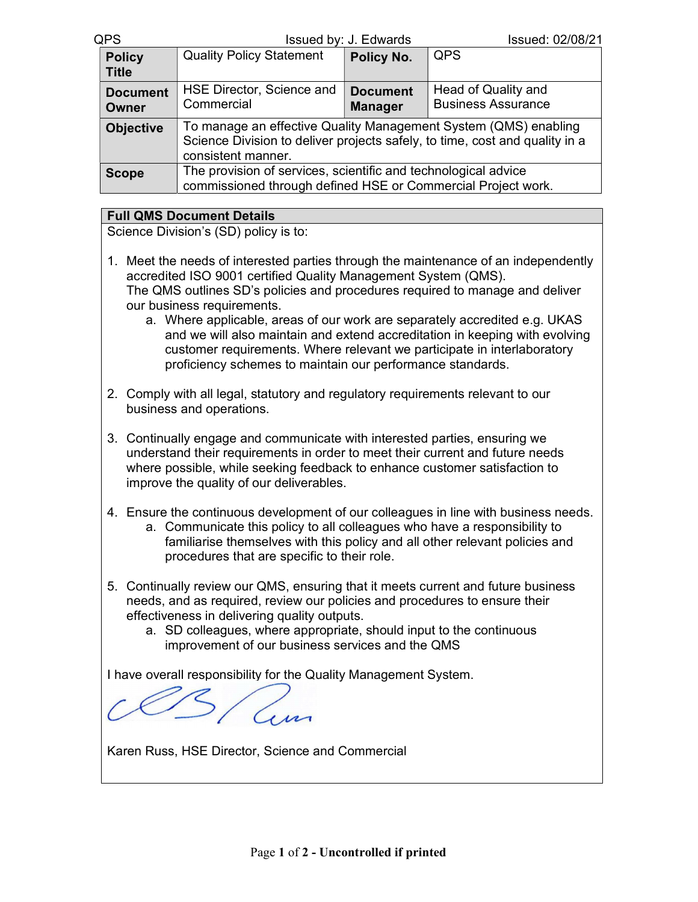## QPS Issued by: J. Edwards Issued: 02/08/21

| <b>Policy</b><br><b>Title</b> | <b>Quality Policy Statement</b>                                                                                                                                      | Policy No.                        | <b>QPS</b>                                       |  |
|-------------------------------|----------------------------------------------------------------------------------------------------------------------------------------------------------------------|-----------------------------------|--------------------------------------------------|--|
| <b>Document</b><br>Owner      | HSE Director, Science and<br>Commercial                                                                                                                              | <b>Document</b><br><b>Manager</b> | Head of Quality and<br><b>Business Assurance</b> |  |
| <b>Objective</b>              | To manage an effective Quality Management System (QMS) enabling<br>Science Division to deliver projects safely, to time, cost and quality in a<br>consistent manner. |                                   |                                                  |  |
| <b>Scope</b>                  | The provision of services, scientific and technological advice<br>commissioned through defined HSE or Commercial Project work.                                       |                                   |                                                  |  |

## Full QMS Document Details

Science Division's (SD) policy is to:

- 1. Meet the needs of interested parties through the maintenance of an independently accredited ISO 9001 certified Quality Management System (QMS). The QMS outlines SD's policies and procedures required to manage and deliver our business requirements.
	- a. Where applicable, areas of our work are separately accredited e.g. UKAS and we will also maintain and extend accreditation in keeping with evolving customer requirements. Where relevant we participate in interlaboratory proficiency schemes to maintain our performance standards.
- 2. Comply with all legal, statutory and regulatory requirements relevant to our business and operations.
- 3. Continually engage and communicate with interested parties, ensuring we understand their requirements in order to meet their current and future needs where possible, while seeking feedback to enhance customer satisfaction to improve the quality of our deliverables.
- 4. Ensure the continuous development of our colleagues in line with business needs. a. Communicate this policy to all colleagues who have a responsibility to familiarise themselves with this policy and all other relevant policies and procedures that are specific to their role.
- 5. Continually review our QMS, ensuring that it meets current and future business needs, and as required, review our policies and procedures to ensure their effectiveness in delivering quality outputs.
	- a. SD colleagues, where appropriate, should input to the continuous improvement of our business services and the QMS

I have overall responsibility for the Quality Management System.

Karen Russ, HSE Director, Science and Commercial